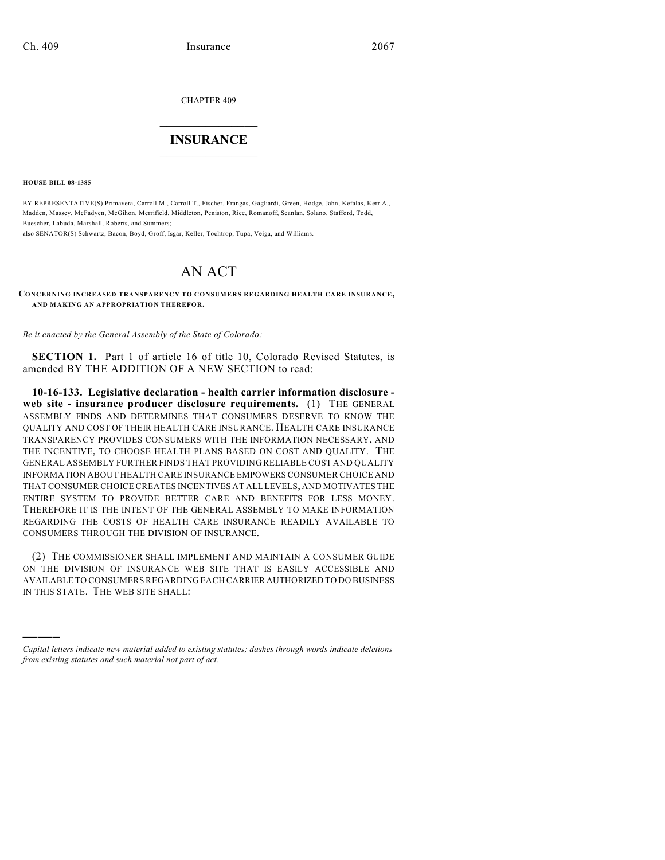CHAPTER 409

## $\mathcal{L}_\text{max}$  . The set of the set of the set of the set of the set of the set of the set of the set of the set of the set of the set of the set of the set of the set of the set of the set of the set of the set of the set **INSURANCE**  $\frac{1}{2}$  ,  $\frac{1}{2}$  ,  $\frac{1}{2}$  ,  $\frac{1}{2}$  ,  $\frac{1}{2}$  ,  $\frac{1}{2}$  ,  $\frac{1}{2}$

**HOUSE BILL 08-1385**

)))))

BY REPRESENTATIVE(S) Primavera, Carroll M., Carroll T., Fischer, Frangas, Gagliardi, Green, Hodge, Jahn, Kefalas, Kerr A., Madden, Massey, McFadyen, McGihon, Merrifield, Middleton, Peniston, Rice, Romanoff, Scanlan, Solano, Stafford, Todd, Buescher, Labuda, Marshall, Roberts, and Summers;

also SENATOR(S) Schwartz, Bacon, Boyd, Groff, Isgar, Keller, Tochtrop, Tupa, Veiga, and Williams.

## AN ACT

**CONCERNING INCREASED TRANSPARENCY TO CONSUMERS REGARDING HEALTH CARE INSURANCE, AND MAKING AN APPROPRIATION THEREFOR.**

*Be it enacted by the General Assembly of the State of Colorado:*

**SECTION 1.** Part 1 of article 16 of title 10, Colorado Revised Statutes, is amended BY THE ADDITION OF A NEW SECTION to read:

**10-16-133. Legislative declaration - health carrier information disclosure web site - insurance producer disclosure requirements.** (1) THE GENERAL ASSEMBLY FINDS AND DETERMINES THAT CONSUMERS DESERVE TO KNOW THE QUALITY AND COST OF THEIR HEALTH CARE INSURANCE. HEALTH CARE INSURANCE TRANSPARENCY PROVIDES CONSUMERS WITH THE INFORMATION NECESSARY, AND THE INCENTIVE, TO CHOOSE HEALTH PLANS BASED ON COST AND QUALITY. THE GENERAL ASSEMBLY FURTHER FINDS THAT PROVIDING RELIABLE COST AND QUALITY INFORMATION ABOUT HEALTH CARE INSURANCE EMPOWERS CONSUMER CHOICE AND THAT CONSUMER CHOICE CREATES INCENTIVES AT ALL LEVELS, AND MOTIVATES THE ENTIRE SYSTEM TO PROVIDE BETTER CARE AND BENEFITS FOR LESS MONEY. THEREFORE IT IS THE INTENT OF THE GENERAL ASSEMBLY TO MAKE INFORMATION REGARDING THE COSTS OF HEALTH CARE INSURANCE READILY AVAILABLE TO CONSUMERS THROUGH THE DIVISION OF INSURANCE.

(2) THE COMMISSIONER SHALL IMPLEMENT AND MAINTAIN A CONSUMER GUIDE ON THE DIVISION OF INSURANCE WEB SITE THAT IS EASILY ACCESSIBLE AND AVAILABLE TO CONSUMERS REGARDING EACH CARRIER AUTHORIZED TO DO BUSINESS IN THIS STATE. THE WEB SITE SHALL:

*Capital letters indicate new material added to existing statutes; dashes through words indicate deletions from existing statutes and such material not part of act.*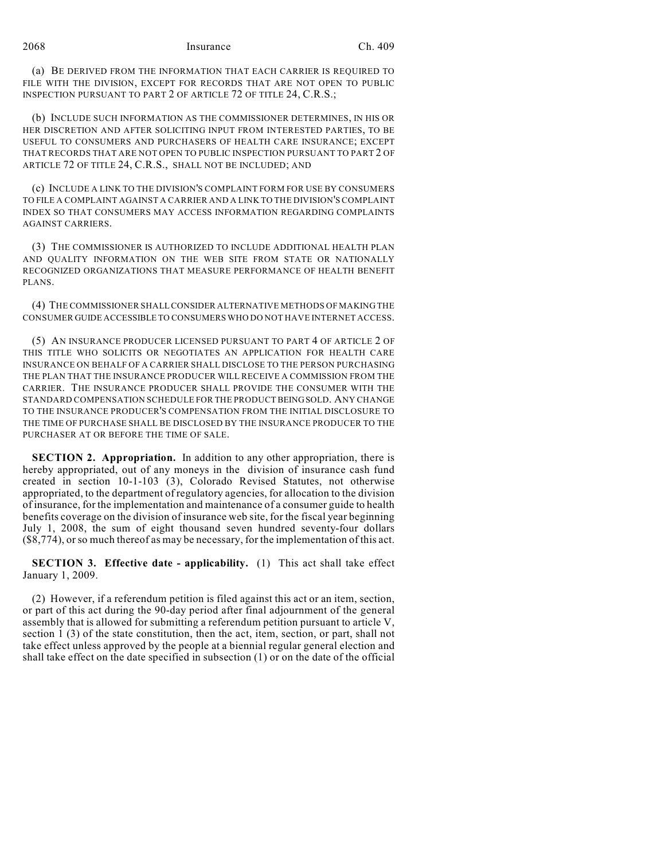2068 Insurance Ch. 409

(a) BE DERIVED FROM THE INFORMATION THAT EACH CARRIER IS REQUIRED TO FILE WITH THE DIVISION, EXCEPT FOR RECORDS THAT ARE NOT OPEN TO PUBLIC INSPECTION PURSUANT TO PART 2 OF ARTICLE 72 OF TITLE 24, C.R.S.;

(b) INCLUDE SUCH INFORMATION AS THE COMMISSIONER DETERMINES, IN HIS OR HER DISCRETION AND AFTER SOLICITING INPUT FROM INTERESTED PARTIES, TO BE USEFUL TO CONSUMERS AND PURCHASERS OF HEALTH CARE INSURANCE; EXCEPT THAT RECORDS THAT ARE NOT OPEN TO PUBLIC INSPECTION PURSUANT TO PART 2 OF ARTICLE 72 OF TITLE 24, C.R.S., SHALL NOT BE INCLUDED; AND

(c) INCLUDE A LINK TO THE DIVISION'S COMPLAINT FORM FOR USE BY CONSUMERS TO FILE A COMPLAINT AGAINST A CARRIER AND A LINK TO THE DIVISION'S COMPLAINT INDEX SO THAT CONSUMERS MAY ACCESS INFORMATION REGARDING COMPLAINTS AGAINST CARRIERS.

(3) THE COMMISSIONER IS AUTHORIZED TO INCLUDE ADDITIONAL HEALTH PLAN AND QUALITY INFORMATION ON THE WEB SITE FROM STATE OR NATIONALLY RECOGNIZED ORGANIZATIONS THAT MEASURE PERFORMANCE OF HEALTH BENEFIT PLANS.

(4) THE COMMISSIONER SHALL CONSIDER ALTERNATIVE METHODS OF MAKING THE CONSUMER GUIDE ACCESSIBLE TO CONSUMERS WHO DO NOT HAVE INTERNET ACCESS.

(5) AN INSURANCE PRODUCER LICENSED PURSUANT TO PART 4 OF ARTICLE 2 OF THIS TITLE WHO SOLICITS OR NEGOTIATES AN APPLICATION FOR HEALTH CARE INSURANCE ON BEHALF OF A CARRIER SHALL DISCLOSE TO THE PERSON PURCHASING THE PLAN THAT THE INSURANCE PRODUCER WILL RECEIVE A COMMISSION FROM THE CARRIER. THE INSURANCE PRODUCER SHALL PROVIDE THE CONSUMER WITH THE STANDARD COMPENSATION SCHEDULE FOR THE PRODUCT BEING SOLD. ANY CHANGE TO THE INSURANCE PRODUCER'S COMPENSATION FROM THE INITIAL DISCLOSURE TO THE TIME OF PURCHASE SHALL BE DISCLOSED BY THE INSURANCE PRODUCER TO THE PURCHASER AT OR BEFORE THE TIME OF SALE.

**SECTION 2. Appropriation.** In addition to any other appropriation, there is hereby appropriated, out of any moneys in the division of insurance cash fund created in section 10-1-103 (3), Colorado Revised Statutes, not otherwise appropriated, to the department of regulatory agencies, for allocation to the division of insurance, for the implementation and maintenance of a consumer guide to health benefits coverage on the division of insurance web site, for the fiscal year beginning July 1, 2008, the sum of eight thousand seven hundred seventy-four dollars (\$8,774), or so much thereof as may be necessary, for the implementation of this act.

**SECTION 3. Effective date - applicability.** (1) This act shall take effect January 1, 2009.

(2) However, if a referendum petition is filed against this act or an item, section, or part of this act during the 90-day period after final adjournment of the general assembly that is allowed for submitting a referendum petition pursuant to article V, section 1 (3) of the state constitution, then the act, item, section, or part, shall not take effect unless approved by the people at a biennial regular general election and shall take effect on the date specified in subsection (1) or on the date of the official